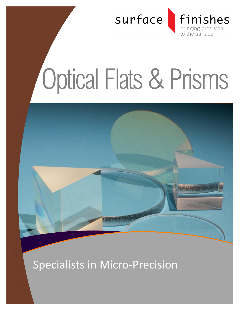

# Optical Flats & Prisms



Specialists in Micro-Precision